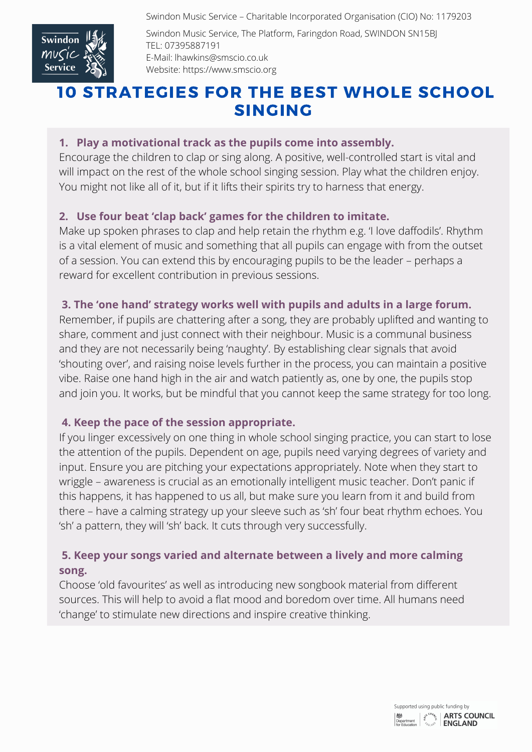Swindon Music Service – Charitable Incorporated Organisation (CIO) No: 1179203



Swindon Music Service, The Platform, Faringdon Road, SWINDON SN15BJ TEL: 07395887191 E-Mail: lhawkins@smscio.co.uk Website: https://www.smscio.org

# 10 STRATEGIES FOR THE BEST WHOLE SCHOOL SINGING

## **1. Play a motivational track as the pupils come into assembly.**

Encourage the children to clap or sing along. A positive, well-controlled start is vital and will impact on the rest of the whole school singing session. Play what the children enjoy. You might not like all of it, but if it lifts their spirits try to harness that energy.

## **2. Use four beat 'clap back' games for the children to imitate.**

Make up spoken phrases to clap and help retain the rhythm e.g. 'I love daffodils'. Rhythm is a vital element of music and something that all pupils can engage with from the outset of a session. You can extend this by encouraging pupils to be the leader – perhaps a reward for excellent contribution in previous sessions.

## **3. The 'one hand' strategy works well with pupils and adults in a large forum.**

Remember, if pupils are chattering after a song, they are probably uplifted and wanting to share, comment and just connect with their neighbour. Music is a communal business and they are not necessarily being 'naughty'. By establishing clear signals that avoid 'shouting over', and raising noise levels further in the process, you can maintain a positive vibe. Raise one hand high in the air and watch patiently as, one by one, the pupils stop and join you. It works, but be mindful that you cannot keep the same strategy for too long.

## **4. Keep the pace of the session appropriate.**

If you linger excessively on one thing in whole school singing practice, you can start to lose the attention of the pupils. Dependent on age, pupils need varying degrees of variety and input. Ensure you are pitching your expectations appropriately. Note when they start to wriggle – awareness is crucial as an emotionally intelligent music teacher. Don't panic if this happens, it has happened to us all, but make sure you learn from it and build from there – have a calming strategy up your sleeve such as 'sh' four beat rhythm echoes. You 'sh' a pattern, they will 'sh' back. It cuts through very successfully.

# **5. Keep your songs varied and alternate between a lively and more calming song.**

Choose 'old favourites' as well as introducing new songbook material from different sources. This will help to avoid a flat mood and boredom over time. All humans need 'change' to stimulate new directions and inspire creative thinking.